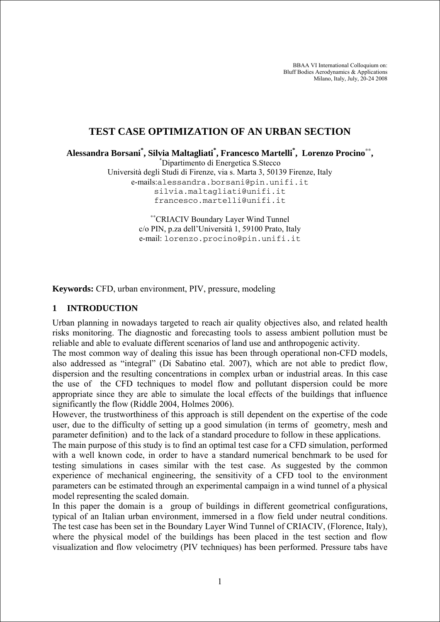BBAA VI International Colloquium on: Bluff Bodies Aerodynamics & Applications Milano, Italy, July, 20-24 2008

# **TEST CASE OPTIMIZATION OF AN URBAN SECTION**

**Alessandra Borsani\* , Silvia Maltagliati\* , Francesco Martelli\* , Lorenzo Procino**∗∗**,** \*

Dipartimento di Energetica S.Stecco

Università degli Studi di Firenze, via s. Marta 3, 50139 Firenze, Italy e-mails:alessandra.borsani@pin.unifi.it silvia.maltagliati@unifi.it francesco.martelli@unifi.it

> ∗∗CRIACIV Boundary Layer Wind Tunnel c/o PIN, p.za dell'Università 1, 59100 Prato, Italy e-mail: lorenzo.procino@pin.unifi.it

**Keywords:** CFD, urban environment, PIV, pressure, modeling

#### **1 INTRODUCTION**

Urban planning in nowadays targeted to reach air quality objectives also, and related health risks monitoring. The diagnostic and forecasting tools to assess ambient pollution must be reliable and able to evaluate different scenarios of land use and anthropogenic activity.

The most common way of dealing this issue has been through operational non-CFD models, also addressed as "integral" (Di Sabatino etal. 2007), which are not able to predict flow, dispersion and the resulting concentrations in complex urban or industrial areas. In this case the use of the CFD techniques to model flow and pollutant dispersion could be more appropriate since they are able to simulate the local effects of the buildings that influence significantly the flow (Riddle 2004, Holmes 2006).

However, the trustworthiness of this approach is still dependent on the expertise of the code user, due to the difficulty of setting up a good simulation (in terms of geometry, mesh and parameter definition) and to the lack of a standard procedure to follow in these applications.

The main purpose of this study is to find an optimal test case for a CFD simulation, performed with a well known code, in order to have a standard numerical benchmark to be used for testing simulations in cases similar with the test case. As suggested by the common experience of mechanical engineering, the sensitivity of a CFD tool to the environment parameters can be estimated through an experimental campaign in a wind tunnel of a physical model representing the scaled domain.

In this paper the domain is a group of buildings in different geometrical configurations, typical of an Italian urban environment, immersed in a flow field under neutral conditions. The test case has been set in the Boundary Layer Wind Tunnel of CRIACIV, (Florence, Italy), where the physical model of the buildings has been placed in the test section and flow visualization and flow velocimetry (PIV techniques) has been performed. Pressure tabs have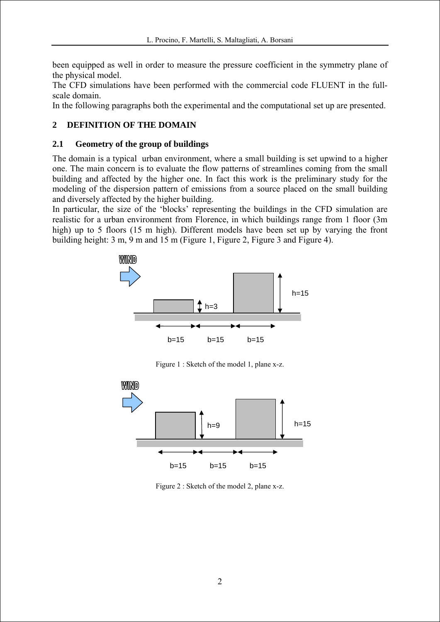been equipped as well in order to measure the pressure coefficient in the symmetry plane of the physical model.

The CFD simulations have been performed with the commercial code FLUENT in the fullscale domain.

In the following paragraphs both the experimental and the computational set up are presented.

# **2 DEFINITION OF THE DOMAIN**

### **2.1 Geometry of the group of buildings**

The domain is a typical urban environment, where a small building is set upwind to a higher one. The main concern is to evaluate the flow patterns of streamlines coming from the small building and affected by the higher one. In fact this work is the preliminary study for the modeling of the dispersion pattern of emissions from a source placed on the small building and diversely affected by the higher building.

In particular, the size of the 'blocks' representing the buildings in the CFD simulation are realistic for a urban environment from Florence, in which buildings range from 1 floor (3m high) up to 5 floors (15 m high). Different models have been set up by varying the front building height: 3 m, 9 m and 15 m (Figure 1, Figure 2, Figure 3 and Figure 4).



Figure 1 : Sketch of the model 1, plane x-z.



Figure 2 : Sketch of the model 2, plane x-z.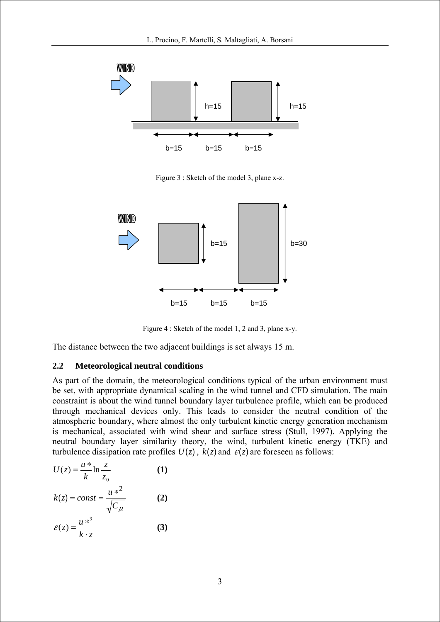

Figure 3 : Sketch of the model 3, plane x-z.



Figure 4 : Sketch of the model 1, 2 and 3, plane x-y.

The distance between the two adjacent buildings is set always 15 m.

#### **2.2 Meteorological neutral conditions**

As part of the domain, the meteorological conditions typical of the urban environment must be set, with appropriate dynamical scaling in the wind tunnel and CFD simulation. The main constraint is about the wind tunnel boundary layer turbulence profile, which can be produced through mechanical devices only. This leads to consider the neutral condition of the atmospheric boundary, where almost the only turbulent kinetic energy generation mechanism is mechanical, associated with wind shear and surface stress (Stull, 1997). Applying the neutral boundary layer similarity theory, the wind, turbulent kinetic energy (TKE) and turbulence dissipation rate profiles  $U(z)$ ,  $k(z)$  and  $\varepsilon(z)$  are foreseen as follows:

$$
U(z) = \frac{u *}{k} \ln \frac{z}{z_0}
$$
  
\n
$$
k(z) = const = \frac{u *^{2}}{\sqrt{C_{\mu}}}
$$
  
\n
$$
\varepsilon(z) = \frac{u *^{3}}{k \cdot z}
$$
  
\n(3)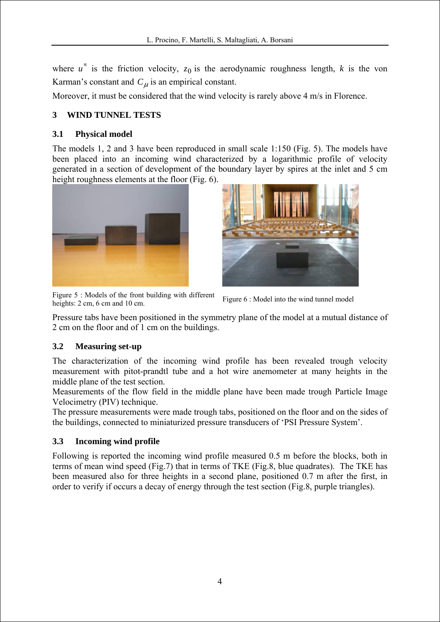where  $u^*$  is the friction velocity,  $z_0$  is the aerodynamic roughness length, *k* is the von Karman's constant and  $C_{\mu}$  is an empirical constant.

Moreover, it must be considered that the wind velocity is rarely above 4 m/s in Florence.

# **3 WIND TUNNEL TESTS**

### **3.1 Physical model**

The models 1, 2 and 3 have been reproduced in small scale 1:150 (Fig. 5). The models have been placed into an incoming wind characterized by a logarithmic profile of velocity generated in a section of development of the boundary layer by spires at the inlet and 5 cm height roughness elements at the floor (Fig. 6).





Figure 5 : Models of the front building with different heights: 2 cm, 6 cm and 10 cm.<br>Figure 6 : Model into the wind tunnel model

Pressure tabs have been positioned in the symmetry plane of the model at a mutual distance of 2 cm on the floor and of 1 cm on the buildings.

#### **3.2 Measuring set-up**

The characterization of the incoming wind profile has been revealed trough velocity measurement with pitot-prandtl tube and a hot wire anemometer at many heights in the middle plane of the test section.

Measurements of the flow field in the middle plane have been made trough Particle Image Velocimetry (PIV) technique.

The pressure measurements were made trough tabs, positioned on the floor and on the sides of the buildings, connected to miniaturized pressure transducers of 'PSI Pressure System'.

## **3.3 Incoming wind profile**

Following is reported the incoming wind profile measured 0.5 m before the blocks, both in terms of mean wind speed (Fig.7) that in terms of TKE (Fig.8, blue quadrates). The TKE has been measured also for three heights in a second plane, positioned 0.7 m after the first, in order to verify if occurs a decay of energy through the test section (Fig.8, purple triangles).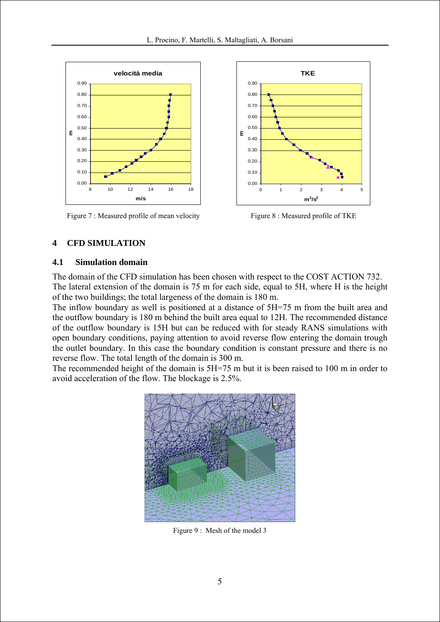

Figure 7 : Measured profile of mean velocity Figure 8 : Measured profile of TKE



## **4 CFD SIMULATION**

#### **4.1 Simulation domain**

The domain of the CFD simulation has been chosen with respect to the COST ACTION 732. The lateral extension of the domain is 75 m for each side, equal to 5H, where H is the height of the two buildings; the total largeness of the domain is 180 m.

The inflow boundary as well is positioned at a distance of 5H=75 m from the built area and the outflow boundary is 180 m behind the built area equal to 12H. The recommended distance of the outflow boundary is 15H but can be reduced with for steady RANS simulations with open boundary conditions, paying attention to avoid reverse flow entering the domain trough the outlet boundary. In this case the boundary condition is constant pressure and there is no reverse flow. The total length of the domain is 300 m.

The recommended height of the domain is 5H=75 m but it is been raised to 100 m in order to avoid acceleration of the flow. The blockage is 2.5%.



Figure 9 : Mesh of the model 3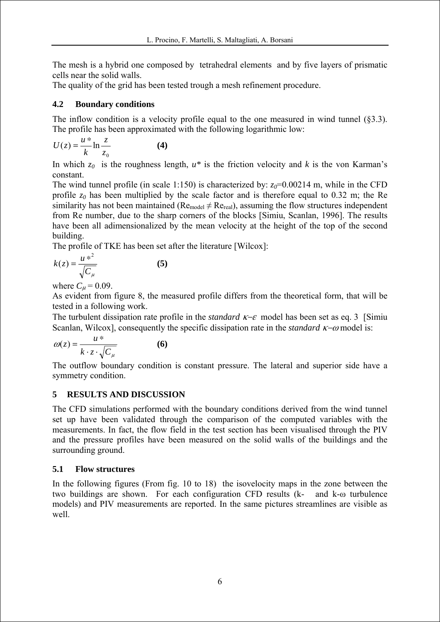The mesh is a hybrid one composed by tetrahedral elements and by five layers of prismatic cells near the solid walls.

The quality of the grid has been tested trough a mesh refinement procedure.

## **4.2 Boundary conditions**

The inflow condition is a velocity profile equal to the one measured in wind tunnel (§3.3). The profile has been approximated with the following logarithmic low:

$$
U(z) = \frac{u *}{k} \ln \frac{z}{z_0}
$$
 (4)

In which  $z_0$  is the roughness length,  $u^*$  is the friction velocity and k is the von Karman's constant.

The wind tunnel profile (in scale 1:150) is characterized by:  $z_0$ =0.00214 m, while in the CFD profile  $z_0$  has been multiplied by the scale factor and is therefore equal to 0.32 m; the Re similarity has not been maintained ( $Re_{model} \neq Re_{real}$ ), assuming the flow structures independent from Re number, due to the sharp corners of the blocks [Simiu, Scanlan, 1996]. The results have been all adimensionalized by the mean velocity at the height of the top of the second building.

The profile of TKE has been set after the literature [Wilcox]:

$$
k(z) = \frac{u *^2}{\sqrt{C_\mu}}
$$
 (5)

where  $C_{\mu} = 0.09$ .

As evident from figure 8, the measured profile differs from the theoretical form, that will be tested in a following work.

The turbulent dissipation rate profile in the *standard* κ−ε model has been set as eq. 3 [Simiu Scanlan, Wilcox], consequently the specific dissipation rate in the *standard* κ−ω model is:

$$
\omega(z) = \frac{u^*}{k \cdot z \cdot \sqrt{C_\mu}}
$$
 (6)

The outflow boundary condition is constant pressure. The lateral and superior side have a symmetry condition.

## **5 RESULTS AND DISCUSSION**

The CFD simulations performed with the boundary conditions derived from the wind tunnel set up have been validated through the comparison of the computed variables with the measurements. In fact, the flow field in the test section has been visualised through the PIV and the pressure profiles have been measured on the solid walls of the buildings and the surrounding ground.

## **5.1 Flow structures**

In the following figures (From fig. 10 to 18) the isovelocity maps in the zone between the two buildings are shown. For each configuration CFD results (k- and k-ω turbulence models) and PIV measurements are reported. In the same pictures streamlines are visible as well.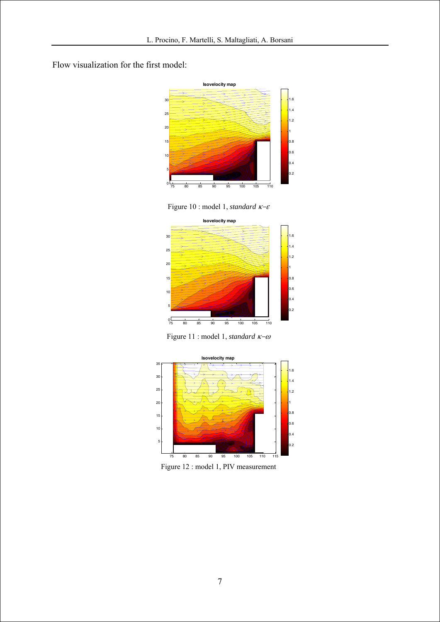Flow visualization for the first model:



Figure 10 : model 1, *standard* κ−ε



Figure 11 : model 1, *standard* κ−ω



Figure 12 : model 1, PIV measurement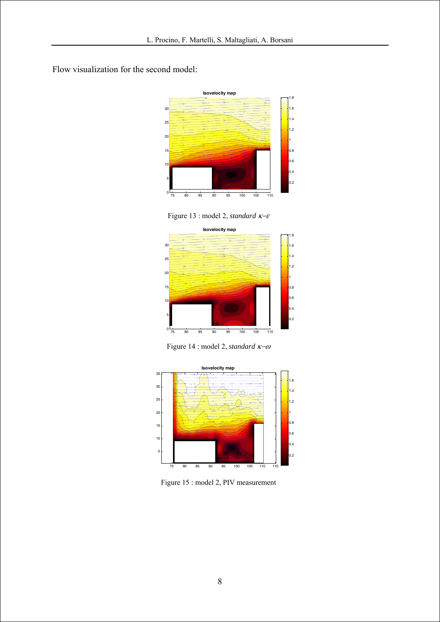Flow visualization for the second model:



Figure 13 : model 2, *standard* κ−ε



Figure 14 : model 2, *standard* κ−ω



Figure 15 : model 2, PIV measurement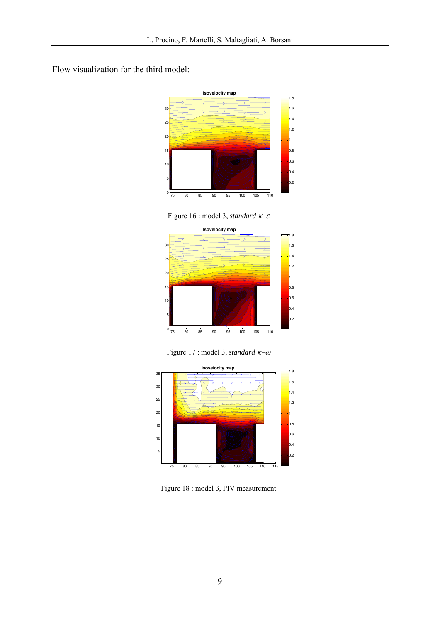Flow visualization for the third model:



Figure 16 : model 3, *standard* κ−ε



Figure 17 : model 3, *standard* κ−ω



Figure 18 : model 3, PIV measurement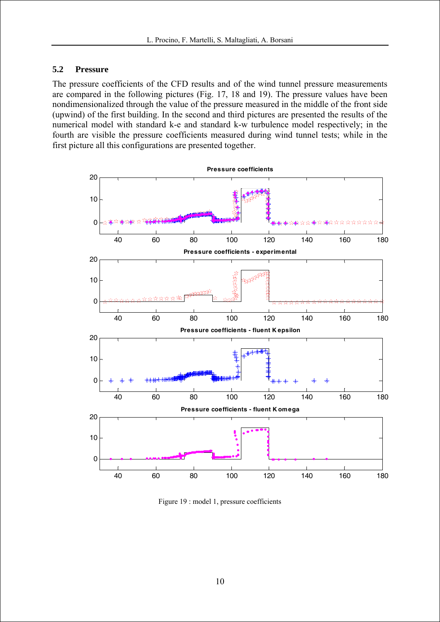#### **5.2 Pressure**

The pressure coefficients of the CFD results and of the wind tunnel pressure measurements are compared in the following pictures (Fig. 17, 18 and 19). The pressure values have been nondimensionalized through the value of the pressure measured in the middle of the front side (upwind) of the first building. In the second and third pictures are presented the results of the numerical model with standard k-e and standard k-w turbulence model respectively; in the fourth are visible the pressure coefficients measured during wind tunnel tests; while in the first picture all this configurations are presented together.



Figure 19 : model 1, pressure coefficients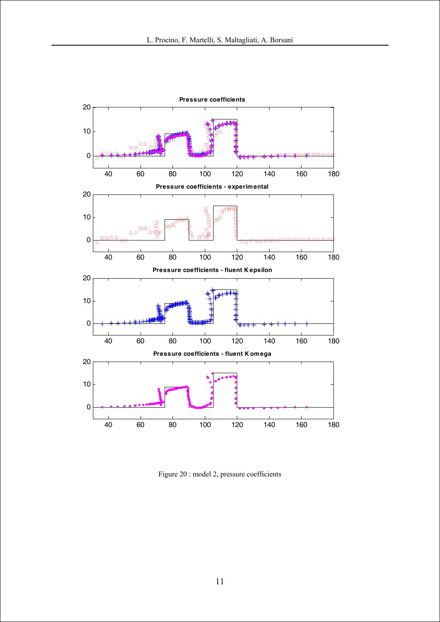

Figure 20 : model 2, pressure coefficients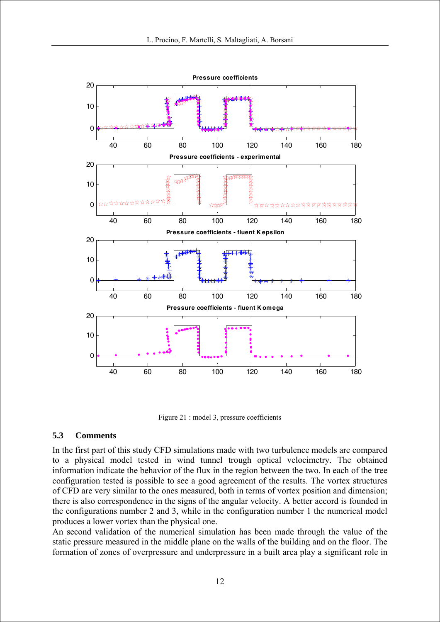

Figure 21 : model 3, pressure coefficients

#### **5.3 Comments**

In the first part of this study CFD simulations made with two turbulence models are compared to a physical model tested in wind tunnel trough optical velocimetry. The obtained information indicate the behavior of the flux in the region between the two. In each of the tree configuration tested is possible to see a good agreement of the results. The vortex structures of CFD are very similar to the ones measured, both in terms of vortex position and dimension; there is also correspondence in the signs of the angular velocity. A better accord is founded in the configurations number 2 and 3, while in the configuration number 1 the numerical model produces a lower vortex than the physical one.

An second validation of the numerical simulation has been made through the value of the static pressure measured in the middle plane on the walls of the building and on the floor. The formation of zones of overpressure and underpressure in a built area play a significant role in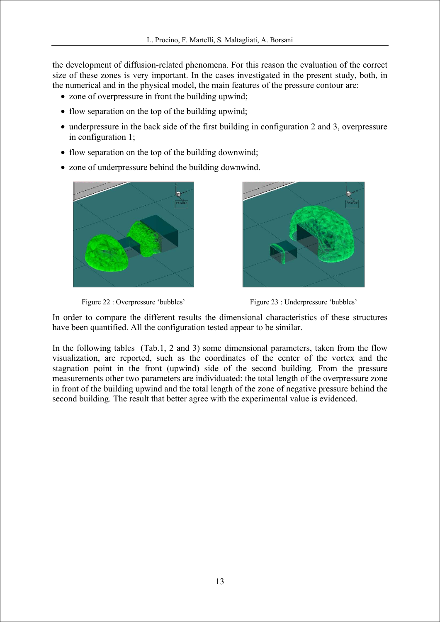the development of diffusion-related phenomena. For this reason the evaluation of the correct size of these zones is very important. In the cases investigated in the present study, both, in the numerical and in the physical model, the main features of the pressure contour are:

- zone of overpressure in front the building upwind;
- flow separation on the top of the building upwind:
- underpressure in the back side of the first building in configuration 2 and 3, overpressure in configuration 1;
- flow separation on the top of the building downwind;
- zone of underpressure behind the building downwind.









In order to compare the different results the dimensional characteristics of these structures have been quantified. All the configuration tested appear to be similar.

In the following tables (Tab.1, 2 and 3) some dimensional parameters, taken from the flow visualization, are reported, such as the coordinates of the center of the vortex and the stagnation point in the front (upwind) side of the second building. From the pressure measurements other two parameters are individuated: the total length of the overpressure zone in front of the building upwind and the total length of the zone of negative pressure behind the second building. The result that better agree with the experimental value is evidenced.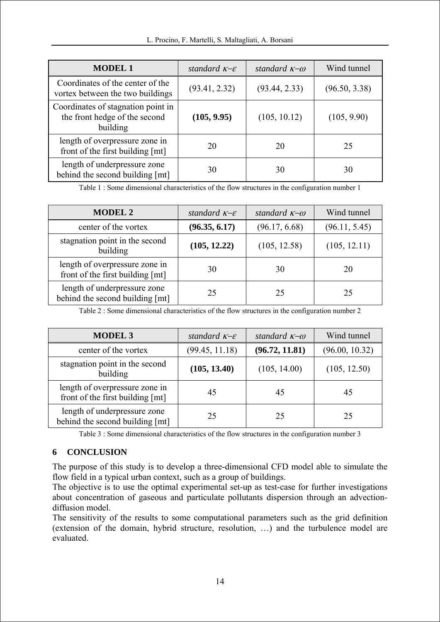| <b>MODEL 1</b>                                                                  | standard $K-E$ | standard $\kappa$ - $\omega$ | Wind tunnel   |
|---------------------------------------------------------------------------------|----------------|------------------------------|---------------|
| Coordinates of the center of the<br>vortex between the two buildings            | (93.41, 2.32)  | (93.44, 2.33)                | (96.50, 3.38) |
| Coordinates of stagnation point in<br>the front hedge of the second<br>building | (105, 9.95)    | (105, 10.12)                 | (105, 9.90)   |
| length of overpressure zone in<br>front of the first building [mt]              | 20             | 20                           | 25            |
| length of underpressure zone<br>behind the second building [mt]                 | 30             | 30                           | 30            |

Table 1 : Some dimensional characteristics of the flow structures in the configuration number 1

| <b>MODEL 2</b>                                                     | standard $K-E$ | standard $\kappa$ - $\omega$ | Wind tunnel   |
|--------------------------------------------------------------------|----------------|------------------------------|---------------|
| center of the vortex                                               | (96.35, 6.17)  | (96.17, 6.68)                | (96.11, 5.45) |
| stagnation point in the second<br>building                         | (105, 12.22)   | (105, 12.58)                 | (105, 12.11)  |
| length of overpressure zone in<br>front of the first building [mt] | 30             | 30                           | 20            |
| length of underpressure zone<br>behind the second building [mt]    | 25             | 25                           | 25            |

Table 2 : Some dimensional characteristics of the flow structures in the configuration number 2

| <b>MODEL 3</b>                                                     | standard $K-E$ | standard $\kappa$ - $\omega$ | Wind tunnel    |
|--------------------------------------------------------------------|----------------|------------------------------|----------------|
| center of the vortex                                               | (99.45, 11.18) | (96.72, 11.81)               | (96.00, 10.32) |
| stagnation point in the second<br>building                         | (105, 13.40)   | (105, 14.00)                 | (105, 12.50)   |
| length of overpressure zone in<br>front of the first building [mt] | 45             | 45                           | 45             |
| length of underpressure zone<br>behind the second building [mt]    | 25             | 25                           | 25             |

Table 3 : Some dimensional characteristics of the flow structures in the configuration number 3

## **6 CONCLUSION**

The purpose of this study is to develop a three-dimensional CFD model able to simulate the flow field in a typical urban context, such as a group of buildings.

The objective is to use the optimal experimental set-up as test-case for further investigations about concentration of gaseous and particulate pollutants dispersion through an advectiondiffusion model.

The sensitivity of the results to some computational parameters such as the grid definition (extension of the domain, hybrid structure, resolution, …) and the turbulence model are evaluated.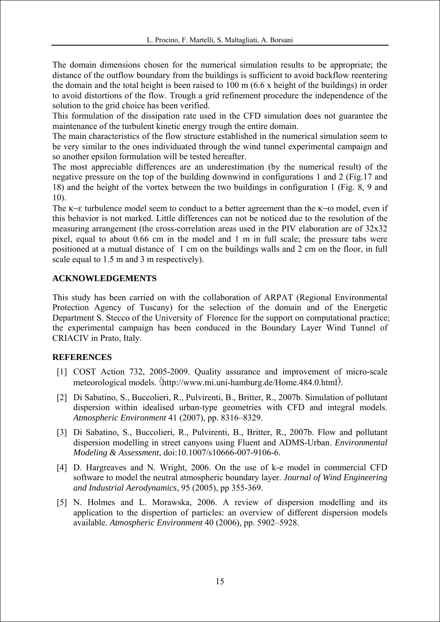The domain dimensions chosen for the numerical simulation results to be appropriate; the distance of the outflow boundary from the buildings is sufficient to avoid backflow reentering the domain and the total height is been raised to 100 m (6.6 x height of the buildings) in order to avoid distortions of the flow. Trough a grid refinement procedure the independence of the solution to the grid choice has been verified.

This formulation of the dissipation rate used in the CFD simulation does not guarantee the maintenance of the turbulent kinetic energy trough the entire domain.

The main characteristics of the flow structure established in the numerical simulation seem to be very similar to the ones individuated through the wind tunnel experimental campaign and so another epsilon formulation will be tested hereafter.

The most appreciable differences are an underestimation (by the numerical result) of the negative pressure on the top of the building downwind in configurations 1 and 2 (Fig.17 and 18) and the height of the vortex between the two buildings in configuration 1 (Fig. 8, 9 and 10).

The κ−ε turbulence model seem to conduct to a better agreement than the κ−ω model, even if this behavior is not marked. Little differences can not be noticed due to the resolution of the measuring arrangement (the cross-correlation areas used in the PIV elaboration are of 32x32 pixel, equal to about 0.66 cm in the model and 1 m in full scale; the pressure tabs were positioned at a mutual distance of 1 cm on the buildings walls and 2 cm on the floor, in full scale equal to 1.5 m and 3 m respectively).

### **ACKNOWLEDGEMENTS**

This study has been carried on with the collaboration of ARPAT (Regional Environmental Protection Agency of Tuscany) for the selection of the domain and of the Energetic Department S. Stecco of the University of Florence for the support on computational practice; the experimental campaign has been conduced in the Boundary Layer Wind Tunnel of CRIACIV in Prato, Italy.

#### **REFERENCES**

- [1] COST Action 732, 2005-2009. Quality assurance and improvement of micro-scale meteorological models. (http://www.mi.uni-hamburg.de/Home.484.0.html).
- [2] Di Sabatino, S., Buccolieri, R., Pulvirenti, B., Britter, R., 2007b. Simulation of pollutant dispersion within idealised urban-type geometries with CFD and integral models. *Atmospheric Environment* 41 (2007), pp. 8316–8329.
- [3] Di Sabatino, S., Buccolieri, R., Pulvirenti, B., Britter, R., 2007b. Flow and pollutant dispersion modelling in street canyons using Fluent and ADMS-Urban. *Environmental Modeling & Assessment*, doi:10.1007/s10666-007-9106-6.
- [4] D. Hargreaves and N. Wright, 2006. On the use of k-e model in commercial CFD software to model the neutral atmospheric boundary layer. *Journal of Wind Engineering and Industrial Aerodynamics*, 95 (2005), pp 355-369.
- [5] N. Holmes and L. Morawska, 2006. A review of dispersion modelling and its application to the dispertion of particles: an overview of different dispersion models available. *Atmospheric Environment* 40 (2006), pp. 5902–5928.